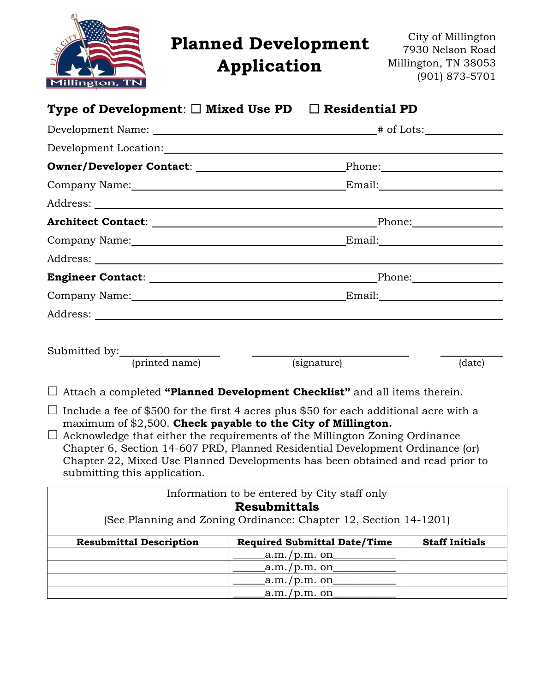

# **Planned Development**

**Application**

City of Millington 7930 Nelson Road Millington, TN 38053 (901) 873-5701

| Type of Development: $\Box$ Mixed Use PD $\Box$ Residential PD                                                                                                                                                                                                                                                                                                                                                                                     |                                                                     |        |
|----------------------------------------------------------------------------------------------------------------------------------------------------------------------------------------------------------------------------------------------------------------------------------------------------------------------------------------------------------------------------------------------------------------------------------------------------|---------------------------------------------------------------------|--------|
|                                                                                                                                                                                                                                                                                                                                                                                                                                                    |                                                                     |        |
| Development Location:                                                                                                                                                                                                                                                                                                                                                                                                                              |                                                                     |        |
|                                                                                                                                                                                                                                                                                                                                                                                                                                                    |                                                                     |        |
|                                                                                                                                                                                                                                                                                                                                                                                                                                                    |                                                                     |        |
|                                                                                                                                                                                                                                                                                                                                                                                                                                                    |                                                                     |        |
|                                                                                                                                                                                                                                                                                                                                                                                                                                                    |                                                                     |        |
|                                                                                                                                                                                                                                                                                                                                                                                                                                                    |                                                                     |        |
|                                                                                                                                                                                                                                                                                                                                                                                                                                                    |                                                                     |        |
|                                                                                                                                                                                                                                                                                                                                                                                                                                                    |                                                                     |        |
|                                                                                                                                                                                                                                                                                                                                                                                                                                                    |                                                                     |        |
|                                                                                                                                                                                                                                                                                                                                                                                                                                                    |                                                                     |        |
|                                                                                                                                                                                                                                                                                                                                                                                                                                                    |                                                                     |        |
| Submitted by:                                                                                                                                                                                                                                                                                                                                                                                                                                      |                                                                     |        |
| (printed name)                                                                                                                                                                                                                                                                                                                                                                                                                                     | (signature)                                                         | (date) |
| $\Box$ Attach a completed "Planned Development Checklist" and all items therein.                                                                                                                                                                                                                                                                                                                                                                   |                                                                     |        |
| Include a fee of \$500 for the first 4 acres plus \$50 for each additional acre with a<br>maximum of \$2,500. Check payable to the City of Millington.<br>Acknowledge that either the requirements of the Millington Zoning Ordinance<br>$\Box$<br>Chapter 6, Section 14-607 PRD, Planned Residential Development Ordinance (or)<br>Chapter 22, Mixed Use Planned Developments has been obtained and read prior to<br>submitting this application. |                                                                     |        |
|                                                                                                                                                                                                                                                                                                                                                                                                                                                    | Information to be entered by City staff only<br><b>Resubmittals</b> |        |
|                                                                                                                                                                                                                                                                                                                                                                                                                                                    |                                                                     |        |

(See Planning and Zoning Ordinance: Chapter 12, Section 14-1201)

| <b>Resubmittal Description</b> | <b>Required Submittal Date/Time</b> | <b>Staff Initials</b> |
|--------------------------------|-------------------------------------|-----------------------|
|                                | $a.m./p.m.$ on                      |                       |
|                                | _a.m./p.m. on_                      |                       |
|                                | _a.m./p.m. on                       |                       |
|                                | $a.m./p.m.$ on                      |                       |